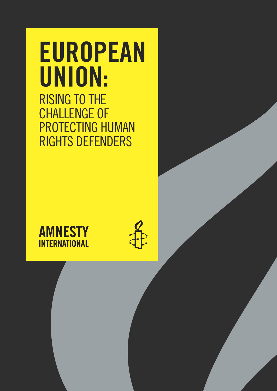# EUROPEAN UNION: RISING TO THE CHALLENGE OF PROTECTING HUMAN RIGHTS DEFENDERS

# **AMNESTY INTERNATIONAL**

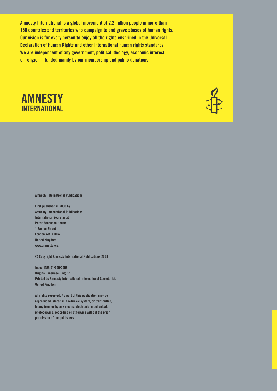Amnesty International is a global movement of 2.2 million people in more than 150 countries and territories who campaign to end grave abuses of human rights. Our vision is for every person to enjoy all the rights enshrined in the Universal Declaration of Human Rights and other international human rights standards. We are independent of any government, political ideology, economic interest or religion – funded mainly by our membership and public donations.

# **AMNESTY INTERNATIONAL**



Amnesty International Publications

First published in 2008 by Amnesty International Publications International Secretariat Peter Benenson House 1 Easton Street London WC1X 0DW United Kingdom www.amnesty.org

© Copyright Amnesty International Publications 2008

Index: EUR 01/009/2008 Original language: English Printed by Amnesty International, International Secretariat, United Kingdom

All rights reserved. No part of this publication may be reproduced, stored in a retrieval system, or transmitted, in any form or by any means, electronic, mechanical, photocopying, recording or otherwise without the prior permission of the publishers.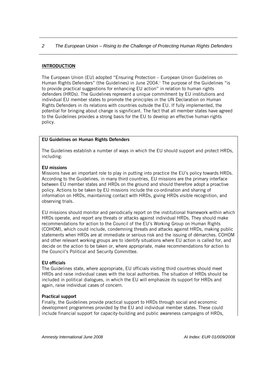#### INTRODUCTION

The European Union (EU) adopted "Ensuring Protection – European Union Guidelines on Human R[i](#page-21-0)ghts Defenders" (the Guidelines) in June 2004. The purpose of the Guidelines "is to provide practical suggestions for enhancing EU action" in relation to human rights defenders (HRDs). The Guidelines represent a unique commitment by EU institutions and individual EU member states to promote the principles in the UN Declaration on Human Rights Defenders in its relations with countries outside the EU. If fully implemented, the potential for bringing about change is significant. The fact that all member states have agre ed to the Guidelines provides a strong basis for the EU to develop an effective hum an rights policy.

# **EU Guidelines on Human Rights Defenders**

The Guidelines establish a number of ways in which the EU should support and protect HRDs, including:

#### EU missions

Missions have an important role to play in putting into practice the EU's policy towards HRDs. According to the Guidelines, in many third countries, EU missions are the primary interface between EU member states and HRDs on the ground and should therefore adopt a proactive policy. Actions to be taken by EU missions include the co-ordination and sharing of information on HRDs, maintaining contact with HRDs, giving HRDs visible recognition, and observing trials.

EU missions should monitor and periodically report on the institutional framework within which HRDs operate, and report any threats or attacks against individual HRDs. They should make recommendations for action to the Council of the EU's Working Group on Human Rights (COHOM), which could include, condemning threats and attacks against HRDs, making public statements when HRDs are at immediate or serious risk and the issuing of démarches. COHOM and other relevant working groups are to identify situations where EU action is called for, and decide on the action to be taken or, where appropriate, make recommendations for action to the Council's Political and Security Committee.

#### EU officials

The Guidelines state, where appropriate, EU officials visiting third countries should meet HRDs and raise individual cases with the local authorities. The situation of HRDs should be included in political dialogues, in which the EU will emphasize its support for HRDs and again, raise individual cases of concern.

# Practical support

Finally, the Guidelines provide practical support to HRDs through social and economic development programmes provided by the EU and individual member states. These could include financial support for capacity-building and public awareness campaigns of HRDs,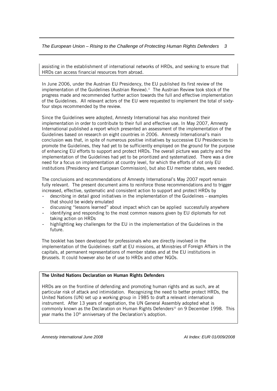assisting in the establishment of international networks of HRDs, and seeking to ensure that HRDs can access financial resources from abroad.

In June 2006, under the Austrian EU Presidency, the EU published its first review of the implementation of the Guidelines (Austrian Review).<sup>[ii](#page-21-1)</sup> The Austrian Review took stock of the progress made and recommended further action towards the full and effective implementation of the Guidelines. All relevant actors of the EU were requested to implement the total of sixtyfour steps recommended by the review.

of enhancing EU efforts to support and protect HRDs. The overall picture was patchy and the need for a focus on implementation at country level, for which the efforts of not only EU Since the Guidelines were adopted, Amnesty International has also monitored their implementation in order to contribute to their full and effective use. In May 2007, Amnesty International published a report which presented an assessment of the implementation of the Guidelines based on research on eight countries in 2006. Amnesty International's main conclusion was that, in spite of numerous positive initiatives by successive EU Presidencies to promote the Guidelines, they had yet to be sufficiently employed on the ground for the purpose implementation of the Guidelines had yet to be prioritized and systematized. There was a dire institutions (Presidency and European Commission), but also EU member states, were needed.

The conclusions and recommendations of Amnesty International's May 2007 report remain fully relevant. The present document aims to reinforce those recommendations and to trigger increased, effective, systematic and consistent action to support and protect HRDs by

- ‐ describing in detail good initiatives in the implementation of the Guidelines examples that should be widely emulated
- discussing "lessons learned" about impact which can be applied successfully anywhere
- taking action on HRDs identifying and responding to the most common reasons given by EU diplomats for not
- highlighting key challenges for the EU in the implementation of the Guidelines in the ‐ future.

implementation of the Guidelines: staff at EU missions, at Ministries of Foreign Affairs in the capitals, at permanent representations of member states and at the EU institutions in Brussels. It could however also be of use to HRDs and other NGOs. The booklet has been developed for professionals who are directly involved in the

#### The United Nations Declaration on Human Rights Defenders

HRDs are on the frontline of defending and promoting human rights and as such, are at particular risk of attack and intimidation. Recognizing the need to better protect HRDs, the United Nations (UN) set up a working group in 1985 to draft a relevant international instrument. After 13 years of negotiation, the UN General Assembly adopted what is commonly known as the Declaration on Human Rights Defendersiii on 9 December 1998. This year marks the 10<sup>th</sup> anniversary of the Declaration's adoption.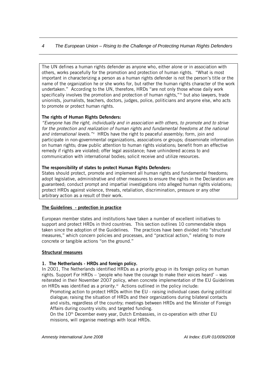The UN defines a human rights defender as anyone who, either alone or in association with others, works peacefully for the promotion and protection of human rights. "What is most important in characterizing a person as a human rights defender is not the person's title or the name of the organization he or she works for, but rather the human rights character of the work undertaken." According to the UN, therefore, HRDs "are not only those whose daily work specifically involves the promotion and protection of human rights,"<sup>iv</sup> but also lawyers, trade unionists, journalists, teachers, doctors, judges, police, politicians and anyone else, who acts to promote or protect human rights.

# The rights of Human Rights Defenders:

*"Everyone has the right, individually and in association with others, to promote and to strive*  for the protection and realization of human rights and fundamental freedoms at the national *and international levels."[v](#page-21-1)* HRDs have the right to peaceful assembly; form, join and participate in non-governmental organizations, associations or groups; disseminate information on human rights; draw public attention to human rights violations; benefit from an effective remedy if rights are violated; offer legal assistance; have unhindered access to and communication with international bodies; solicit receive and utilize resources.

#### The responsibility of states to protect Human Rights Defenders:

States should protect, promote and implement all human rights and fundamental freedoms; adopt legislative, administrative and other measures to ensure the rights in the Declaration are guaranteed; conduct prompt and impartial investigations into alleged human rights violations; protect HRDs against violence, threats, retaliation, discrimination, pressure or any other arbitrary action as a result of their work.

#### The Guidelines - protection in practice

European member states and institutions have taken a number of excellent initiatives to support and protect HRDs in third countries. This section outlines 10 commendable steps taken since the adoption of the Guidelines. The practices have been divided into "structural measures," which concern policies and processes, and "practical action," relating to more concrete or tangible actions "on the ground."

#### Structural measures

#### 1. The Netherlands - HRDs and foreign policy.

In 2001, The Netherlands identified HRDs as a priority group in its foreign policy on human rights. Support For HRDs – 'people who have the courage to make their voices heard' – was reiterated in their November 2007 policy, when concrete implementation of the EU Guidelines on HRDs was identified as a priority.<sup>vi</sup> Actions outlined in the policy include:

dialogue; raising the situation of HRDs and their organizations during bilateral contacts and visits, regardless of the country; meetings between HRDs and the Minister of Foreign Promoting action to protect HRDs within the EU - raising individual cases during political Affairs during country visits; and targeted funding.

missions, will organise meetings with local HRDs. On the 10th December every year, Dutch Embassies, in co-operation with other EU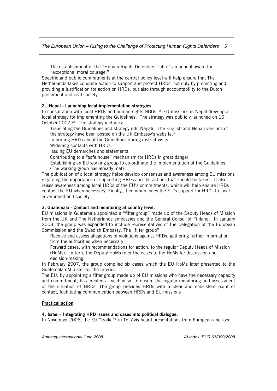The establishment of the "Human Rights Defenders Tulip," an annual award for "exceptional moral courage."

Netherlands takes concrete action to support and protect HRDs, not only by promoting and providing a justification for action on HRDs, but also through accountability to the Dutch Specific and public commitments at the central policy level will help ensure that The parliament and civil society.

#### 2. Nepal - Launching local implementation strategies.

In consultation with local HRDs and human rights NGOs. vii EU missions in Nepal drew up a local strategy for implementing the Guidelines. The strategy was publicly launched on 10 October 2007.<sup>[viii](#page-21-1)</sup> The strategy includes:

Translating the Guidelines and strategy into Nepali. The English and Nepali versions of the strategy have been posted on the UK Embassy's website.<sup>ix</sup>

Informing HRDs about the Guidelines during district visits.

Widening contacts with HRDs.

Issuing EU demarches and statements.

Contributing to a "safe house" mechanism for HRDs in great danger.

Establishing an EU working group to co-ordinate the implementation of the Guidelines. (The working group has already met)

The publication of a local strategy helps develop consensus and awareness among EU missions raises awareness among local HRDs of the EU's commitments, which will help ensure HRDs contact the EU when necessary. Finally, it communicates the EU's support for HRDs to local regarding the importance of supporting HRDs and the actions that should be taken. It also government and society.

#### 3. Guatemala - Contact and monitoring at country level.

from the UK and The Netherlands embassies and the General Consul of Finland. In January 2008, the group was expanded to include representatives of the Delegation of the European Commission and the Swedish Embassy. The "filter group": EU missions in Guatemala appointed a "filter group" made up of the Deputy Heads of Mission

Receive and assess allegations of violations against HRDs, gathering further information from the authorities when necessary.

Forward cases, with recommendations for action, to the regular Deputy Heads of Mission (HoMs). In turn, the Deputy HoMs refer the cases to the HoMs for discussion and decision-making.

In February 2007, the group compiled six cases which the EU HoMs later presented to the Guatemalan Minister for the Interior.

and commitment, has created a mechanism to ensure the regular monitoring and assessment of the situation of HRDs. The group provides HRDs with a clear and consistent point of contact, facilitating communication between HRDs and EU missions. The EU, by appointing a filter group made up of EU missions who have the necessary capacity

#### Practical action

#### 4. Israel - Integrating HRD issues and cases into political dialogue.

In November 2006, the EU "troika"<sup>[x](#page-21-1)</sup> in Tel Aviv heard presentations from European and local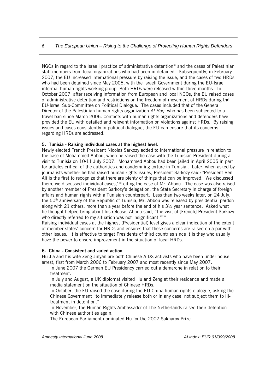staff members from local organizations who had been in detained. Subsequently, in February 2007, the EU increased international pressure by raising the issue, and the cases of two HRDs October 2007, after receiving information from European and local NGOs, the EU raised cases of administrative detention and restrictions on the freedom of movement of HRDs during the travel ban since March 2006. Contacts with human rights organizations and defenders have provided the EU with detailed and relevant information on violations against HRDs. By raising issues and cases consistently in political dialogue, the EU can ensure that its concerns NGOs in regard to the Israeli practice of administrative detention $x_i$  and the cases of Palestinian who had been detained since May 2005, with the Israeli Government during the EU-Israel informal human rights working group. Both HRDs were released within three months. In EU-Israel Sub-Committee on Political Dialogue. The cases included that of the General Director of the Palestinian human rights organization *Al Haq*, who has been subjected to a regarding HRDs are addressed.

#### 5. Tunisia - Raising individual cases at the highest level.

along with 21 others, more than a year before the end of his  $3\frac{1}{2}$  year sentence. Asked what Newly elected French President Nicolas Sarkozy added to international pressure in relation to the case of Mohammed Abbou, when he raised the case with the Tunisian President during a visit to Tunisia on 10/11 July 2007. Mohammed Abbou had been jailed in April 2005 in part for articles critical of the authorities and condemning torture in Tunisia.. Later, when asked by journalists whether he had raised human rights issues, President Sarkozy said: "President Ben Ali is the first to recognize that there are plenty of things that can be improved. We discussed them, we discussed individual cases,"[xii](#page-21-1) citing the case of Mr. Abbou. The case was also raised by another member of President Sarkozy's delegation, the State Secretary in charge of foreign affairs and human rights with a Tunisian counterpart. Less than two weeks later, on 24 July, the 50th anniversary of the Republic of Tunisia, Mr. Abbou was released by presidential pardon he thought helped bring about his release, Abbou said, "the visit of [French] President Sarkozy who directly referred to my situation was not insignificant."xiii

Raising individual cases at the highest (Presidential) level gives a clear indication of the extent of member states' concern for HRDs and ensures that these concerns are raised on a par with other issues. It is effective to target Presidents of third countries since it is they who usually have the power to ensure improvement in the situation of local HRDs.

#### 6. China - Consistent and varied action

Hu Jia and his wife Zeng Jinyan are both Chinese AIDS activists who have been under house arrest, first from March 2006 to February 2007 and most recently since May 2007.

In June 2007 the German EU Presidency carried out a demarche in relation to their treatment.

In July and August, a UK diplomat visited Hu and Zeng at their residence and made a media statement on the situation of Chinese HRDs.

In October, the EU raised the case during the EU-China human rights dialogue, asking the - Chinese Government "to immediately release both or in any case, not subject them to ill treatment in detention."

In November, the Human Rights Ambassador of The Netherlands raised their detention with Chinese authorities again.

The European Parliament nominated Hu for the 2007 Sakharov Prize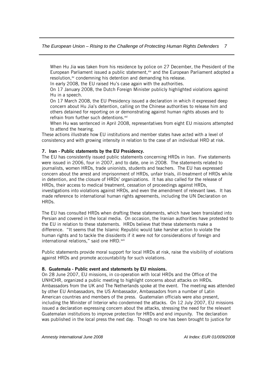When Hu Jia was taken from his residence by police on 27 December, the President of the European Parliament issued a public statement, [xiv](#page-21-1) and the European Parliament adopted a resolution,<sup>[xv](#page-21-1)</sup> condemning his detention and demanding his release.

In early 2008, the EU raised Hu's case again with the authorities.

On 17 January 2008, the Dutch Foreign Minister publicly highlighted violations against Hu in a speech.

On 17 March 2008, the EU Presidency issued a declaration in which it expressed deep concern about Hu Jia's detention, calling on the Chinese authorities to release him and others detained for reporting on or demonstrating against human rights abuses and to refrain from further such detentions.<sup>[xvi](#page-21-1)</sup>

When Hu was sentenced in April 2008, representatives from eight EU missions attempted to attend the hearing.

These actions illustrate how EU institutions and member states have acted with a level of consistency and with growing intensity in relation to the case of an individual HRD at risk.

#### 7. Iran - Public statements by the EU Presidency.

The EU has consistently issued public statements concerning HRDs in Iran. Five statements were issued in 2006, four in 2007, and to date, one in 2008. The statements related to journalists, women HRDs, trade unionists, students and teachers. The EU has expressed concern about the arrest and imprisonment of HRDs, unfair trials, ill-treatment of HRDs while in detention, and the closure of HRDs' organizations. It has also called for the release of HRDs, their access to medical treatment, cessation of proceedings against HRDs, investigations into violations against HRDs, and even the amendment of relevant laws. It has made reference to international human rights agreements, including the UN Declaration on HRDs.

The EU has consulted HRDs when drafting these statements, which have been translated into Persian and covered in the local media. On occasion, the Iranian authorities have protested to the EU in relation to these statements. HRDs believe that these statements make a difference. "It seems that the Islamic Republic would take harsher action to violate the human rights and to tackle the dissidents if it were not for considerations of foreign and international relations," said one HRD.<sup>[xvii](#page-21-1)</sup>

Public statements provide moral support for local HRDs at risk, raise the visibility of violations against HRDs and promote accountability for such violations.

#### 8. Guatemala - Public event and statements by EU missions.

On 28 June 2007, EU missions, in co-operation with local HRDs and the Office of the UNHCHR, organized a public meeting to highlight concerns about attacks on HRDs. Ambassadors from the UK and The Netherlands spoke at the event. The meeting was attended by other EU Ambassadors, the US Ambassador, Ambassadors from a number of Latin American countries and members of the press. Guatemalan officials were also present, including the Minister of Interior who condemned the attacks. On 12 July 2007, EU missions issued a declaration expressing concern about the attacks, stressing the need for the relevant Guatemalan institutions to improve protection for HRDs and end impunity. The declaration was published in the local press the next day. Though no one has been brought to justice for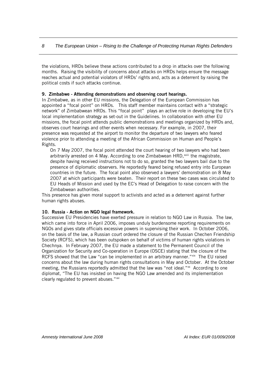the violations, HRDs believe these actions contributed to a drop in attacks over the following months. Raising the visibility of concerns about attacks on HRDs helps ensure the message reaches actual and potential violators of HRDs' rights and, acts as a deterrent by raising the political costs if such attacks continue.

#### 9. Zimbabwe - Attending demonstrations and observing court hearings.

In Zimbabwe, as in other EU missions, the Delegation of the European Commission has appointed a "focal point" on HRDs. This staff member maintains contact with a "strategic network" of Zimbabwean HRDs. This "focal point" plays an active role in developing the EU's local implementation strategy as set-out in the Guidelines. In collaboration with other EU missions, the focal point attends public demonstrations and meetings organized by HRDs and, observes court hearings and other events when necessary. For example, in 2007, their presence was requested at the airport to monitor the departure of two lawyers who feared violence prior to attending a meeting of the African Commission on Human and People's Rights.

On 7 May 2007, the focal point attended the court hearing of two lawyers who had been arbitrarily arrested on 4 May. According to one Zimbabwean HRD,<sup>[xviii](#page-21-1)</sup> the magistrate, despite having received instructions not to do so, granted the two lawyers bail due to the presence of diplomatic observers. He reportedly feared being refused entry into European countries in the future. The focal point also observed a lawyers' demonstration on 8 May 2007 at which participants were beaten. Their report on these two cases was circulated to EU Heads of Mission and used by the EC's Head of Delegation to raise concern with the Zimbabwean authorities.

This presence has given moral support to activists and acted as a deterrent against further human rights abuses.

#### 10. Russia - Action on NGO legal framework.

Successive EU Presidencies have exerted pressure in relation to NGO Law in Russia. The law, which came into force in April 2006, imposes unduly burdensome reporting requirements on NGOs and gives state officials excessive powers in supervising their work. In October 2006, on the basis of the law, a Russian court ordered the closure of the Russian Chechen Friendship Society (RCFS), which has been outspoken on behalf of victims of human rights violations in Chechnya. In February 2007, the EU made a statement to the Permanent Council of the Organization for Security and Co-operation in Europe (OSCE) stating that the closure of the RCFS showed that the Law "can be implemented in an arbitrary manner." $\frac{dx}{dx}$  The EU raised concerns about the law during human rights consultations in May and October. At the October meeting, the Russians reportedly admitted that the law was "not ideal."<sup>[xx](#page-21-1)</sup> According to one diplomat, "The EU has insisted on having the NGO Law amended and its implementation clearly regulated to prevent abuses."<sup>[xxi](#page-21-1)</sup>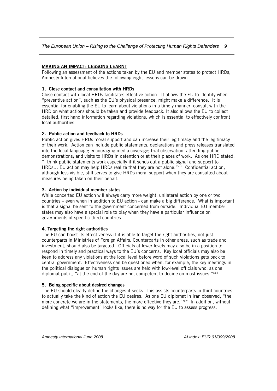# MAKING AN IMPACT: LESSONS LEARNT

Following an assessment of the actions taken by the EU and member states to protect HRDs, Amnesty International believes the following eight lessons can be drawn.

#### 1. Close contact and consultation with HRDs

Close contact with local HRDs facilitates effective action. It allows the EU to identify when "preventive action", such as the EU's physical presence, might make a difference. It is essential for enabling the EU to learn about violations in a timely manner, consult with the HRD on what actions should be taken and provide feedback. It also allows the EU to collect detailed, first hand information regarding violations, which is essential to effectively confront local authorities.

# 2. Public action and feedback to HRDs

Public action gives HRDs moral support and can increase their legitimacy and the legitimacy of their work. Action can include public statements, declarations and press releases translated into the local language; encouraging media coverage; trial observation; attending public demonstrations; and visits to HRDs in detention or at their places of work. As one HRD stated: "I think public statements work especially if it sends out a public signal and support to HRDs... EU action may help HRDs realize that they are not alone."<sup>[xxii](#page-21-1)</sup> Confidential action, although less visible, still serves to give HRDs moral support when they are consulted about measures being taken on their behalf.

#### 3. Action by individual member states

While concerted EU action will always carry more weight, unilateral action by one or two countries – even when in addition to EU action - can make a big difference. What is important is that a signal be sent to the government concerned from outside. Individual EU member states may also have a special role to play when they have a particular influence on governments of specific third countries.

#### 4. Targeting the right authorities

The EU can boost its effectiveness if it is able to target the right authorities, not just counterparts in Ministries of Foreign Affairs. Counterparts in other areas, such as trade and investment, should also be targeted. Officials at lower levels may also be in a position to respond in timely and practical ways to the EU's concerns. Key local officials may also be keen to address any violations at the local level before word of such violations gets back to central government. Effectiveness can be questioned when, for example, the key meetings in the political dialogue on human rights issues are held with low-level officials who, as one diplomat put it, "at the end of the day are not competent to decide on most issues."<sup>[xxiii](#page-21-1)</sup>

#### 5. Being specific about desired changes

The EU should clearly define the changes it seeks. This assists counterparts in third countries to actually take the kind of action the EU desires. As one EU diplomat in Iran observed, "the more concrete we are in the statements, the more effective they are."[xxiv](#page-21-1) In addition, without defining what "improvement" looks like, there is no way for the EU to assess progress.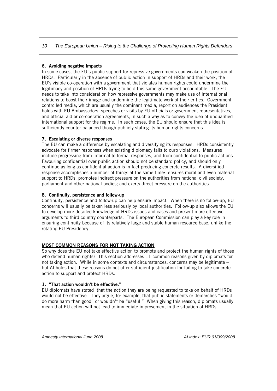# 6. Avoiding negative impacts

In some cases, the EU's public support for repressive governments can weaken the position of HRDs. Particularly in the absence of public action in support of HRDs and their work, the EU's visible co-operation with a government that violates human rights could undermine the legitimacy and position of HRDs trying to hold this same government accountable. The EU needs to take into consideration how repressive governments may make use of international relations to boost their image and undermine the legitimate work of their critics. Governmentcontrolled media, which are usually the dominant media, report on audiences the President holds with EU Ambassadors, speeches or visits by EU officials or government representatives, and official aid or co-operation agreements, in such a way as to convey the idea of unqualified international support for the regime. In such cases, the EU should ensure that this idea is sufficiently counter-balanced though publicly stating its human rights concerns.

# 7. Escalating or diverse responses

The EU can make a difference by escalating and diversifying its responses. HRDs consistently advocate for firmer responses when existing diplomacy fails to curb violations. Measures include progressing from informal to formal responses, and from confidential to public actions. Favouring confidential over public action should not be standard policy, and should only continue as long as confidential action is in fact producing concrete results. A diversified response accomplishes a number of things at the same time: ensures moral and even material support to HRDs; promotes indirect pressure on the authorities from national civil society, parliament and other national bodies; and exerts direct pressure on the authorities.

#### 8. Continuity, persistence and follow-up

Continuity, persistence and follow-up can help ensure impact. When there is no follow-up, EU concerns will usually be taken less seriously by local authorities. Follow-up also allows the EU to develop more detailed knowledge of HRDs issues and cases and present more effective arguments to third country counterparts. The European Commission can play a key role in ensuring continuity because of its relatively large and stable human resource base, unlike the rotating EU Presidency.

#### MOST COMMON REASONS FOR NOT TAKING ACTION

So why does the EU not take effective action to promote and protect the human rights of those who defend human rights? This section addresses 11 common reasons given by diplomats for not taking action. While in some contexts and circumstances, concerns may be legitimate – but AI holds that these reasons do not offer sufficient justification for failing to take concrete action to support and protect HRDs.

#### 1. "That action wouldn't be effective."

EU diplomats have stated that the action they are being requested to take on behalf of HRDs would not be effective. They argue, for example, that public statements or demarches "would do more harm than good" or wouldn't be "useful." When giving this reason, diplomats usually mean that EU action will not lead to immediate improvement in the situation of HRDs.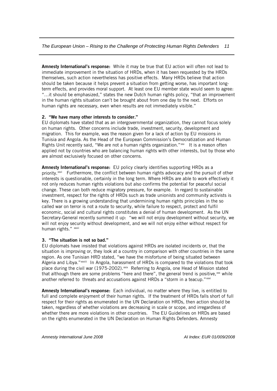Amnesty International's response: While it may be true that EU action will often not lead to immediate improvement in the situation of HRDs, when it has been requested by the HRDs themselves, such action nevertheless has positive effects. Many HRDs believe that action should be taken because it helps prevent a situation from getting worse, has important longterm effects, and provides moral support. At least one EU member state would seem to agree: "…it should be emphasized," states the new Dutch human rights policy, "that an improvement in the human rights situation can't be brought about from one day to the next. Efforts on human rights are necessary, even when results are not immediately visible."

# 2. "We have many other interests to consider."

EU diplomats have stated that as an intergovernmental organization, they cannot focus solely on human rights. Other concerns include trade, investment, security, development and migration. This for example, was the reason given for a lack of action by EU missions in Tunisia and Angola. As the Head of the European Commission's Democratization and Human Rights Unit recently said, "We are not a human rights organization."<sup>[xxv](#page-21-1)</sup> It is a reason often applied not by countries who are balancing human rights with other interests, but by those who are almost exclusively focused on other concerns.

interests is questionable, certainly in the long term. Where HRDs are able to work effectively it economic, social and cultural rights constitutes a denial of human development. As the UN Secretary-General recently summed it up: "we will not enjoy development without security, we human rights." xxvii Amnesty International's response: EU policy clearly identifies supporting HRDs as a priority.<sup>[xxvi](#page-21-1)</sup> Furthermore, the conflict between human rights advocacy and the pursuit of other not only reduces human rights violations but also confirms the potential for peaceful social change. These can both reduce migratory pressure, for example. In regard to sustainable investment, respect for the rights of HRDs such as trade unionists and community activists is key. There is a growing understanding that undermining human rights principles in the so called war on terror is not a route to security, while failure to respect, protect and fulfil will not enjoy security without development, and we will not enjoy either without respect for

#### 3. "The situation is not so bad."

EU diplomats have insisted that violations against HRDs are isolated incidents or, that the situation is improving or, they look at a country in comparison with other countries in the same region. As one Tunisian HRD stated, "we have the misfortune of being situated between Algeria and Libya."[xxviii](#page-21-1) In Angola, harassment of HRDs is compared to the violations that took place during the civil war (1975-2002).<sup>[xxix](#page-21-1)</sup> Referring to Angola, one Head of Mission stated that although there are some problems "here and there", the general trend is positive, $xx$  while another referred to threats and accusations against HRDs a "storm in a teacup."[xxxi](#page-21-1)

Amnesty International's response: Each individual, no matter where they live, is entitled to full and complete enjoyment of their human rights. If the treatment of HRDs falls short of full respect for their rights as enumerated in the UN Declaration on HRDs, then action should be taken, regardless of whether violations are decreasing in scale or scope, and irregardless of whether there are more violations in other countries. The EU Guidelines on HRDs are based on the rights enumerated in the UN Declaration on Human Rights Defenders. Amnesty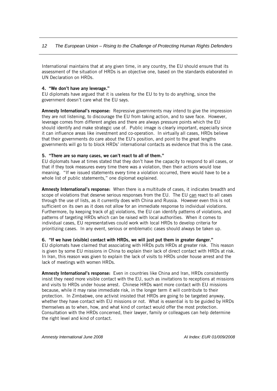International maintains that at any given time, in any country, the EU should ensure that its assessment of the situation of HRDs is an objective one, based on the standards elaborated in UN Declaration on HRDs.

#### 4. "We don't have any leverage."

EU diplomats have argued that it is useless for the EU to try to do anything, since the government doesn't care what the EU says.

**Amnesty International's response:** Repressive governments may intend to give the impression they are not listening, to discourage the EU from taking action, and to save face. However, leverage comes from different angles and there are always pressure points which the EU should identify and make strategic use of. Public image is clearly important, especially since it can influence areas like investment and co-operation. In virtually all cases, HRDs believe that their governments do care about the EU's position, and point to the great lengths governments will go to to block HRDs' international contacts as evidence that this is the case.

#### 5. "There are so many cases, we can't react to all of them."

EU diplomats have at times stated that they don't have the capacity to respond to all cases, or that if they took measures every time there was a violation, then their actions would lose meaning. "If we issued statements every time a violation occurred, there would have to be a whole list of public statements," one diplomat explained.

Amnesty International's response: When there is a multitude of cases, it indicates breadth and scope of violations that deserve serious responses from the EU. The EU can react to all cases through the use of lists, as it currently does with China and Russia. However even this is not sufficient on its own as it does not allow for an immediate response to individual violations. Furthermore, by keeping track of all violations, the EU can identify patterns of violations, and patterns of targeting HRDs which can be raised with local authorities. When it comes to individual cases, EU representatives could work with local HRDs to develop criteria for prioritizing cases. In any event, serious or emblematic cases should always be taken up.

#### 6. "If we have (visible) contact with HRDs, we will just put them in greater danger."

EU diplomats have claimed that associating with HRDs puts HRDs at greater risk. This reason is given by some EU missions in China to explain their lack of direct contact with HRDs at risk. In Iran, this reason was given to explain the lack of visits to HRDs under house arrest and the lack of meetings with women HRDs.

Amnesty International's response: Even in countries like China and Iran, HRDs consistently insist they need more visible contact with the EU, such as invitations to receptions at missions and visits to HRDs under house arrest. Chinese HRDs want more contact with EU missions because, while it may raise immediate risk, in the longer term it will contribute to their protection. In Zimbabwe, one activist insisted that HRDs are going to be targeted anyway, whether they have contact with EU missions or not. What is essential is to be guided by HRDs themselves as to when, how, and what kind of contact would offer the most protection. Consultation with the HRDs concerned, their lawyer, family or colleagues can help determine the right level and kind of contact.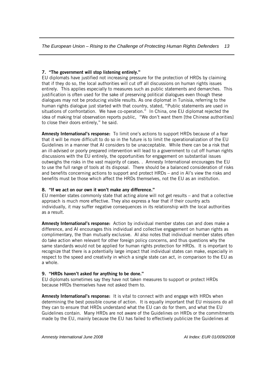#### 7. "The government will stop listening entirely."

EU diplomats have justified not increasing pressure for the protection of HRDs by claiming that if they do so, the local authorities will cut off all discussions on human rights issues entirely. This applies especially to measures such as public statements and demarches. This justification is often used for the sake of preserving political dialogues even though these dialogues may not be producing visible results. As one diplomat in Tunisia, referring to the human rights dialogue just started with that country, stated, "Public statements are used in situations of confrontation. We have co-operation." In China, one EU diplomat rejected the idea of making trial observation reports public, "We don't want them [the Chinese authorities] to close their doors entirely," he said.

Amnesty International's response: To limit one's actions to support HRDs because of a fear that it will be more difficult to do so in the future is to limit the operationalization of the EU Guidelines in a manner that AI considers to be unacceptable. While there can be a risk that an ill-advised or poorly prepared intervention will lead to a government to cut off human rights discussions with the EU entirely, the opportunities for engagement on substantial issues outweighs the risks in the vast majority of cases. . Amnesty International encourages the EU to use the full range of tools at its disposal. There should be a balanced consideration of risks and benefits concerning actions to support and protect HRDs – and in AI's view the risks and benefits must be those which affect the HRDs themselves, not the EU as an institution.

#### 8. "If we act on our own it won't make any difference."

EU member states commonly state that acting alone will not get results – and that a collective approach is much more effective. They also express a fear that if their country acts individually, it may suffer negative consequences in its relationship with the local authorities as a result.

Amnesty International's response: Action by individual member states can and does make a difference, and AI encourages this individual and collective engagement on human rights as complimentary, the than mutually exclusive. AI also notes that individual member states often do take action when relevant for other foreign policy concerns, and thus questions why the same standards would not be applied for human rights protection for HRDs. It is important to recognize that there is a potentially large impact that individual states can make, especially in respect to the speed and creativity in which a single state can act, in comparison to the EU as a whole.

#### 9. "HRDs haven't asked for anything to be done."

EU diplomats sometimes say they have not taken measures to support or protect HRDs because HRDs themselves have not asked them to.

Amnesty International's response: It is vital to connect with and engage with HRDs when determining the best possible course of action. It is equally important that EU missions do all they can to ensure that HRDs understand what the EU can do for them, and what the EU Guidelines contain. Many HRDs are not aware of the Guidelines on HRDs or the commitments made by the EU, mainly because the EU has failed to effectively publicize the Guidelines at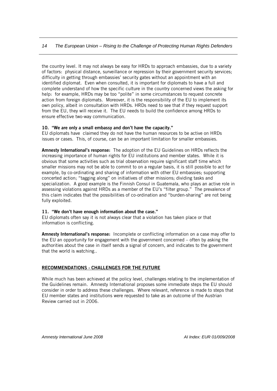the country level. It may not always be easy for HRDs to approach embassies, due to a variety of factors: physical distance, surveillance or repression by their government security services; difficulty in getting through embassies' security gates without an appointment with an identified diplomat. Even when consulted, it is important for diplomats to have a full and complete understand of how the specific culture in the country concerned views the asking for help: for example, HRDs may be too "polite" in some circumstances to request concrete action from foreign diplomats. Moreover, it is the responsibility of the EU to implement its own policy, albeit in consultation with HRDs. HRDs need to see that if they request support from the EU, they will receive it. The EU needs to build the confidence among HRDs to ensure effective two-way communication.

#### 10. "We are only a small embassy and don't have the capacity."

EU diplomats have claimed they do not have the human resources to be active on HRDs issues or cases. This, of course, can be an important limitation for smaller embassies.

Amnesty International's response: The adoption of the EU Guidelines on HRDs reflects the increasing importance of human rights for EU institutions and member states. While it is obvious that some activities such as trial observation require significant staff time which smaller missions may not be able to commit to on a regular basis, it is still possible to act for example, by co-ordinating and sharing of information with other EU embassies; supporting concerted action; "tagging along" on initiatives of other missions; dividing tasks and specialization. A good example is the Finnish Consul in Guatemala, who plays an active role in assessing violations against HRDs as a member of the EU's "filter group." The prevalence of this claim indicates that the possibilities of co-ordination and "burden-sharing" are not being fully exploited.

#### 11. "We don't have enough information about the case."

EU diplomats often say it is not always clear that a violation has taken place or that information is conflicting.

Amnesty International's response: Incomplete or conflicting information on a case may offer to the EU an opportunity for engagement with the government concerned – often by asking the authorities about the case in itself sends a signal of concern, and indicates to the government that the world is watching..

#### RECOMMENDATIONS - CHALLENGES FOR THE FUTURE

While much has been achieved at the policy level, challenges relating to the implementation of the Guidelines remain. Amnesty International proposes some immediate steps the EU should consider in order to address these challenges. Where relevant, reference is made to steps that EU member states and institutions were requested to take as an outcome of the Austrian Review carried out in 2006.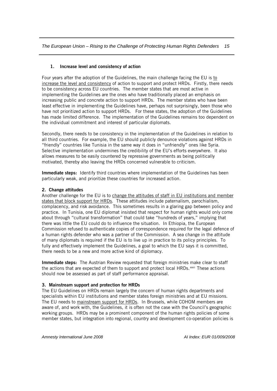#### 1. Increase level and consistency of action

Four years after the adoption of the Guidelines, the main challenge facing the EU is to increase the level and consistency of action to support and protect HRDs. Firstly, there needs to be consistency across EU countries. The member states that are most active in implementing the Guidelines are the ones who have traditionally placed an emphasis on increasing public and concrete action to support HRDs. The member states who have been least effective in implementing the Guidelines have, perhaps not surprisingly, been those who have not prioritized action to support HRDs. For these states, the adoption of the Guidelines has made limited difference. The implementation of the Guidelines remains too dependent on the individual commitment and interest of particular diplomats.

Secondly, there needs to be consistency in the implementation of the Guidelines in relation to all third countries. For example, the EU should publicly denounce violations against HRDs in "friendly" countries like Tunisia in the same way it does in "unfriendly" ones like Syria. Selective implementation undermines the credibility of the EU's efforts everywhere. It also allows measures to be easily countered by repressive governments as being politically motivated, thereby also leaving the HRDs concerned vulnerable to criticism.

**Immediate steps:** Identify third countries where implementation of the Guidelines has been particularly weak, and prioritize these countries for increased action.

#### 2. Change attitudes

Another challenge for the EU is to change the attitudes of staff in EU institutions and member states that block support for HRDs. These attitudes include paternalism, parochialism, complacency, and risk avoidance. This sometimes results in a glaring gap between policy and practice. In Tunisia, one EU diplomat insisted that respect for human rights would only come about through "cultural transformation" that could take "hundreds of years," implying that there was little the EU could do to influence the situation. In Ethiopia, the European Commission refused to authenticate copies of correspondence required for the legal defence of a human rights defender who was a partner of the Commission. A sea change in the attitude of many diplomats is required if the EU is to live up in practice to its policy principles. To fully and effectively implement the Guidelines, a goal to which the EU says it is committed, there needs to be a new and more active kind of diplomacy.

Immediate steps: The Austrian Review requested that foreign ministries make clear to staff the actions that are expected of them to support and protect local HRDs.<sup>xxii</sup> These actions should now be assessed as part of staff performance appraisal.

#### 3. Mainstream support and protection for HRDs

The EU Guidelines on HRDs remain largely the concern of human rights departments and specialists within EU institutions and member states foreign ministries and at EU missions. The EU needs to mainstream support for HRDs. In Brussels, while COHOM members are aware of, and work with, the Guidelines, it is often not the case with the Council's geographic working groups. HRDs may be a prominent component of the human rights policies of some member states, but integration into regional, country and development co-operation policies is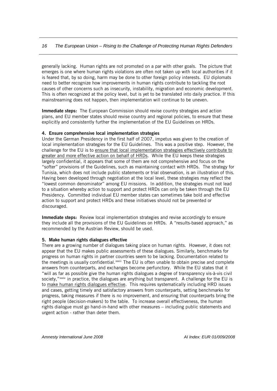generally lacking. Human rights are not promoted on a par with other goals. The picture that emerges is one where human rights violations are often not taken up with local authorities if it is feared that, by so doing, harm may be done to other foreign policy interests. EU diplomats need to better recognize how improvements in human rights contribute to tackling the root causes of other concerns such as insecurity, instability, migration and economic development. This is often recognized at the policy level, but is yet to be translated into daily practice. If this mainstreaming does not happen, then implementation will continue to be uneven.

Immediate steps: The European Commission should revise country strategies and action plans, and EU member states should revise country and regional policies, to ensure that these explicitly and consistently further the implementation of the EU Guidelines on HRDs.

#### 4. Ensure comprehensive local implementation strategies

Under the German Presidency in the first half of 2007, impetus was given to the creation of local implementation strategies for the EU Guidelines. This was a positive step. However, the challenge for the EU is to ensure that local implementation strategies effectively contribute to greater and more effective action on behalf of HRDs. While the EU keeps these strategies largely confidential, it appears that some of them are not comprehensive and focus on the "softer" provisions of the Guidelines, such as maintaining contact with HRDs. The strategy for Tunisia, which does not include public statements or trial observation, is an illustration of this. Having been developed through negotiation at the local level, these strategies may reflect the "lowest common denominator" among EU missions. In addition, the strategies must not lead to a situation whereby action to support and protect HRDs can only be taken through the EU Presidency. Committed individual EU member states can sometimes take bold and effective action to support and protect HRDs and these initiatives should not be prevented or discouraged.

Immediate steps: Review local implementation strategies and revise accordingly to ensure they include all the provisions of the EU Guidelines on HRDs. A "results-based approach," as recommended by the Austrian Review, should be used.

#### 5. Make human rights dialogues effective

There are a growing number of dialogues taking place on human rights. However, it does not appear that the EU makes public assessments of these dialogues. Similarly, benchmarks for progress on human rights in partner countries seem to be lacking. Documentation related to the meetings is usually confidential.<sup>xxiii</sup> The EU is often unable to obtain precise and complete answers from counterparts, and exchanges become perfunctory. While the EU states that it "will as far as possible give the human rights dialogues a degree of transparency vis-à-vis civil society," $\frac{x}{x}$  in practice, the dialogues are anything but transparent. A challenge for the EU is to make human rights dialogues effective. This requires systematically including HRD issues and cases, getting timely and satisfactory answers from counterparts, setting benchmarks for progress, taking measures if there is no improvement, and ensuring that counterparts bring the right people (decision-makers) to the table. To increase overall effectiveness, the human rights dialogue must go hand-in-hand with other measures – including public statements and urgent action - rather than deter them.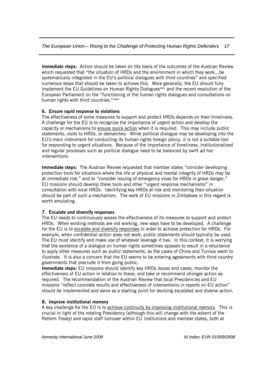Immediate steps: Action should be taken on the basis of the outcomes of the Austrian Review which requested that "the situation of HRDs and the environment in which they work…be systematically integrated in the EU's political dialogues with third countries" and specified numerous steps that should be taken to achieve this. More generally, the EU should fully implement the EU Guidelines on Human Rights Dialogues<sup>xxx</sup> and the recent resolution of the European Parliament on the "functioning of the human rights dialogues and consultations on human rights with third countries." [xxxvi](#page-20-0)

# 6. Ensure rapid response to violations

The effectiveness of some measures to support and protect HRDs depends on their timeliness. A challenge for the EU is to recognize the importance of urgent action and develop the capacity or mechanisms to ensure quick action when it is required. This may include public statements, visits to HRDs, or demarches. While political dialogue may be developing into the EU's main instrument for conducting its human rights foreign policy, it is not a suitable tool for responding to urgent situations. Because of the importance of timeliness, institutionalized and regular processes such as political dialogue need to be balanced by swift *ad hoc* interventions.

Immediate steps: The Austrian Review requested that member states "consider developing protection tools for situations where the life or physical and mental integrity of HRDs may be at immediate risk," and to "consider issuing of emergency visas for HRDs in grave danger." EU missions should develop these tools and other "urgent response mechanisms" in consultation with local HRDs. Identifying key HRDs at risk and monitoring their situation should be part of such a mechanism. The work of EU missions in Zimbabwe in this regard is worth emulating.

# 7. Escalate and diversify responses

The EU needs to continuously assess the effectiveness of its measures to support and protect HRDs. When existing methods are not working, new ways have to be developed. A challenge for the EU is to escalate and diversify responses in order to achieve protection for HRDs. For example, when confidential action does not work, public statements should typically be used. The EU must identify and make use of whatever leverage it has. In this context, it is worrying that the existence of a dialogue on human rights sometimes appears to result in a reluctance to apply other measures such as public statements, as the cases of China and Tunisia seem to illustrate. It is also a concern that the EU seems to be entering agreements with third country governments that preclude it from going public.

Immediate steps: EU missions should identify key HRDs issues and cases, monitor the effectiveness of EU action in relation to these, and take or recommend stronger action as required. The recommendation of the Austrian Review that local Presidencies and EU missions "reflect concrete results and effectiveness of interventions in reports on EU action" should be implemented and serve as a starting point for devising escalated and diverse action.

#### 8. Improve institutional memory

A key challenge for the EU is to achieve continuity by improving institutional memory. This is crucial in light of the rotating Presidency (although this will change with the advent of the Reform Treaty) and rapid staff turnover within EU institutions and member states, both at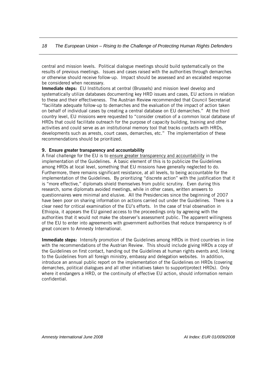central and mission levels. Political dialogue meetings should build systematically on the results of previous meetings. Issues and cases raised with the authorities through demarches or otherwise should receive follow-up. Impact should be assessed and an escalated response be considered when necessary.

Immediate steps: EU Institutions at central (Brussels) and mission level develop and systematically utilize databases documenting key HRD issues and cases, EU actions in relation to these and their effectiveness. The Austrian Review recommended that Council Secretariat "facilitate adequate follow-up to demarches and the evaluation of the impact of action taken on behalf of individual cases by creating a central database on EU demarches." At the third country level, EU missions were requested to "consider creation of a common local database of HRDs that could facilitate outreach for the purpose of capacity building, training and other activities and could serve as an institutional memory tool that tracks contacts with HRDs, developments such as arrests, court cases, demarches, etc." The implementation of these recommendations should be prioritized.

#### 9. Ensure greater transparency and accountability

A final challenge for the EU is to ensure greater transparency and accountability in the implementation of the Guidelines. A basic element of this is to publicize the Guidelines among HRDs at local level, something that EU missions have generally neglected to do. Furthermore, there remains significant resistance, at all levels, to being accountable for the implementation of the Guidelines. By prioritizing "discrete action" with the justification that it is "more effective," diplomats shield themselves from public scrutiny. Even during this research, some diplomats avoided meetings, while in other cases, written answers to questionnaires were minimal and elusive. All the Presidencies since the beginning of 2007 have been poor on sharing information on actions carried out under the Guidelines. There is a clear need for critical examination of the EU's efforts. In the case of trial observation in Ethiopia, it appears the EU gained access to the proceedings only by agreeing with the authorities that it would not make the observer's assessment public. The apparent willingness of the EU to enter into agreements with government authorities that reduce transparency is of great concern to Amnesty International.

Immediate steps: Intensify promotion of the Guidelines among HRDs in third countries in line with the recommendations of the Austrian Review. This should include giving HRDs a copy of the Guidelines on first contact, handing out the Guidelines at human rights events and, linking to the Guidelines from all foreign ministry, embassy and delegation websites. In addition, introduce an annual public report on the implementation of the Guidelines on HRDs (covering demarches, political dialogues and all other initiatives taken to support/protect HRDs). Only where it endangers a HRD, or the continuity of effective EU action, should information remain confidential.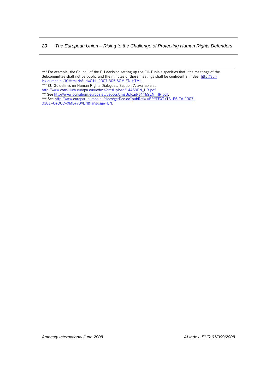<span id="page-20-0"></span><u> Andreas Andreas Andreas Andreas Andreas Andreas Andreas Andreas Andreas Andreas Andreas Andreas Andreas Andr</u>

xxxiii For example, the Council of the EU decision setting up the EU-Tunisia specifies that "the meetings of the Subcommittee shall not be public and the minutes of those meetings shall be confidential." See [http://eur-](http://eur-lex.europa.eu/JOHtml.do?uri=OJ:L:2007:305:SOM:EN:HTML)

<sup>&</sup>lt;u>lex.europa.eu/JOHtml.do?uri=OJ:L:2007:305:SOM:EN:HTML</u>.<br><sup>xxxiv</sup> EU Guidelines on Human Rights Dialogues, Section 7, available at

<sup>&</sup>lt;u>http://www.consilium.europa.eu/uedocs/cmsUpload/14469EN\_HR.pdf</u>.<br>xxxv See <u>http://www.consilium.europa.eu/uedocs/cmsUpload/14469EN\_HR.pdf</u>.<br>xxxvi See <u>http://www.europarl.europa.eu/sides/getDoc.do?pubRef=-//EP//TEXT+TA+P6</u>

[<sup>0381+0+</sup>DOC+XML+V0//EN&language=EN.](http://www.europarl.europa.eu/sides/getDoc.do?pubRef=-//EP//TEXT+TA+P6-TA-2007-0381+0+DOC+XML+V0//EN&language=EN)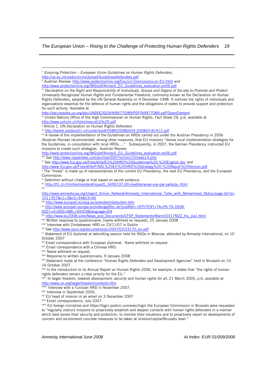<span id="page-21-1"></span><span id="page-21-0"></span><sup>&</sup>lt;u> Andreas Andreas Andreas Andreas Andreas Andreas Andreas Andreas Andreas Andreas Andreas Andreas Andreas Andr</u> ii *Ensuring Protection – European Union Guidelines on Human Rights Defenders*, <http://ue.eu.int/uedocs/cmsUpload/GuidelinesDefenders.pdf> ii Austrian Review: <http://www.protectionline.org/Council-Conclusions-on-EU.html> and [http://www.protectionline.org/IMG/pdf/AnnexII\\_EU\\_Guidelines\\_evaluation.en06.pdf](http://www.protectionline.org/IMG/pdf/AnnexII_EU_Guidelines_evaluation.en06.pdf) iii *Declaration on the Right and Responsibility of Individuals, Groups and Organs of Society to Promote and Protect Universally Recognized Human Rights and Fundamental Freedoms*, commonly known as the Declaration on Human Rights Defenders, adopted by the UN General Assembly on 9 December 1998. It outlines the rights of individuals and organizations essential for the defence of human rights and the obligations of states to provide support and protection for such activity. Available at <http://daccessdds.un.org/doc/UNDOC/GEN/N99/770/89/PDF/N9977089.pdf?OpenElement> iv United Nations Office of the High Commissioner on Human Rights, Fact Sheet 29, p.6, available at <http://www.unhchr.ch/html/menu6/2/fs29.pdf> v Article 1, UN Declaration on Human Rights Defenders vi <http://bestel.postbus51.nl/content/pdf/05BR2008G004-200843-81912.pdf> vii A review of the implementation of the Guidelines on HRDs carried out under the Austrian Presidency in 2006 (Austrian Review) recommended, among other measures, that EU missions "devise local implementation strategies for the Guidelines, in consultation with local HRDs…." Subsequently, in 2007, the German Presidency instructed EU missions to create such strategies. Austrian Review: [http://www.protectionline.org/IMG/pdf/AnnexII\\_EU\\_Guidelines\\_evaluation.en06.pdf](http://www.protectionline.org/IMG/pdf/AnnexII_EU_Guidelines_evaluation.en06.pdf) viii See <http://www.nepalnews.com/archive/2007/oct/oct10/news14.php> <sup>ix</sup> See [http://www.fco.gov.uk/Files/kfile/EU%20HRD%20Guidelines%20-%20English.doc](http://www.fco.gov.uk/Files/kfile/EU%20HRD%20guidelines%20-%20English.doc) and [http://www.fco.gov.uk/Files/kfile/FINAL%20EU%20HRD%20strategy%20-%20Nepali%20Version.pdf.](http://www.fco.gov.uk/Files/kfile/FINAL%20EU%20HRD%20strategy%20-%20Nepali%20Version.pdf)<br>\* The "troika" is made up of representatives of the current EU Presidency, the next EU Presidency, and <sup>x</sup> The "troika" is made up of representatives of the current EU Presidency, the next EU Presidency, and the European Commission. xi Detention without charge or trial based on secret evidence. xii <http://tf1.lci.fr/infos/monde/afrique/0,,3490197,00-mediterranee-vue-par-sarkozy-.html> xiii [http://www.amnestyusa.org/Urgent\\_Action\\_Network/Amnesty\\_International\\_Talks\\_with\\_Mohammed\\_Abbou/page.do?id=](http://www.amnestyusa.org/Urgent_Action_Network/Amnesty_International_Talks_with_Mohammed_Abbou/page.do?id=1011357&n1=3&n2=34&n3=66)<br>1011357&n1=3&n2=34&n3=66 xiv <http://www.europarl.europa.eu/president/defaulten.htm> xv [http://www.europarl.europa.eu/sides/getDoc.do?pubRef=-//EP//TEXT+TA+P6-TA-2008-](http://www.europarl.europa.eu/sides/getDoc.do?pubRef=-//EP//TEXT+TA+P6-TA-2008-0021+0+DOC+XML+V0//EN&language=EN) [0021+0+DOC+XML+V0//EN&language=EN](http://www.europarl.europa.eu/sides/getDoc.do?pubRef=-//EP//TEXT+TA+P6-TA-2008-0021+0+DOC+XML+V0//EN&language=EN) xvi [http://www.eu2008.si/en/News\\_and\\_Documents/CFSP\\_Statements/March/0317MZZ\\_Hu\\_Jia1.html](http://www.eu2008.si/en/News_and_Documents/CFSP_Statements/March/0317MZZ_Hu_Jia1.html) xvii Written response to questionnaire, (name withheld on request), 25 January 2008 xviii Interview with Zimbabwean HRD on 23/11/07 in Dublin xix See [http://www.osce.org/documents/pc/2007/02/23170\\_en.pdf](http://www.osce.org/documents/pc/2007/02/23170_en.pdf) xx Statement of EU diplomat at debriefing session held for NGOs in Moscow, attended by Amnesty International, on 10 October 2007 <sup>xxi</sup> Email correspondence with European diplomat. Name withheld on request.<br><sup>xxii</sup> Email correspondence with a Chinese HRD. xxiii Name withheld on request.<br>xxiv Response to written questionnaire, 9 January 2008<br>xxv Statement made at the conference "Human Rights Defenders and Development Agencies" held in Brussels on 15-16 October 2007. xxvi In the introduction to its Annual Report on Human Rights 2006, for example, it states that "the rights of human rights defenders remain a clear priority for the EU." <sup>xxvii</sup> *In larger freedom: towards development, security and human rights for all*, 21 March 2005, p.6, available at http://www.un.org/largerfreedom/contents.htm. www.iii Interview with a Tunisian HRD in November 2007.<br>Axix Interview in September 2005. xxx EU head of mission in an email on 3 December 2007 xxxi Email correspondence, July 2007<br>xxxii EU foreign ministries and https://login.postini.com/exec/login the European Commission in Brussels were requested to "regularly instruct missions to proactively establish and deepen contacts with human rights defenders in a manner which best serves their security and protection, to monitor their situations and to proactively report on developments of concern and recommend concrete measures to be taken at mission/capital/Brussels level."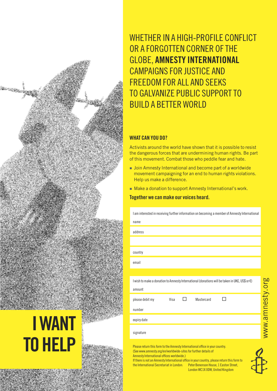name address

IWANT **TO HELP** 

WHETHER IN A HIGH-PROFILE CONFLICT OR A FORGOTTEN CORNER OFTHE GLOBE, AMNESTY INTERNATIONAL CAMPAIGNS FOR JUSTICE AND FREEDOM FOR ALL AND SEEKS TO GALVANIZE PUBLIC SUPPORT TO BUILD A BETTER WORLD

# WHAT CAN YOU DO?

Activists around the world have shown that it is possible to resist the dangerous forces that are undermining human rights. Be part of this movement. Combat those who peddle fear and hate.

- **Join Amnesty International and become part of a worldwide** movement campaigning for an end to human rights violations. Help us make a difference.
- Make a donation to support Amnesty International's work.

# Together we can make our voices heard.

| I am interested in receiving further information on becoming a member of Amnesty International |
|------------------------------------------------------------------------------------------------|
| name                                                                                           |
| address                                                                                        |
|                                                                                                |
| country                                                                                        |
| email                                                                                          |
|                                                                                                |
|                                                                                                |
| I wish to make a donation to Amnesty International (donations will be taken in UK£, US\$ or €) |
| amount                                                                                         |
| Mastercard<br>please debit my<br>Visa                                                          |
| number                                                                                         |
| expiry date                                                                                    |

Please return this form to the Amnesty International office in your country. (See www.amnesty.org/en/worldwide-sitesfor further detailsof Amnesty International offices worldwide.)

If there is not an Amnesty International office in your country, please return this form to<br>the International Secretariat in London: Peter Benenson House. 1 Easton Street. the International Secretariat in London: London WC1X 0DW, United Kingdom